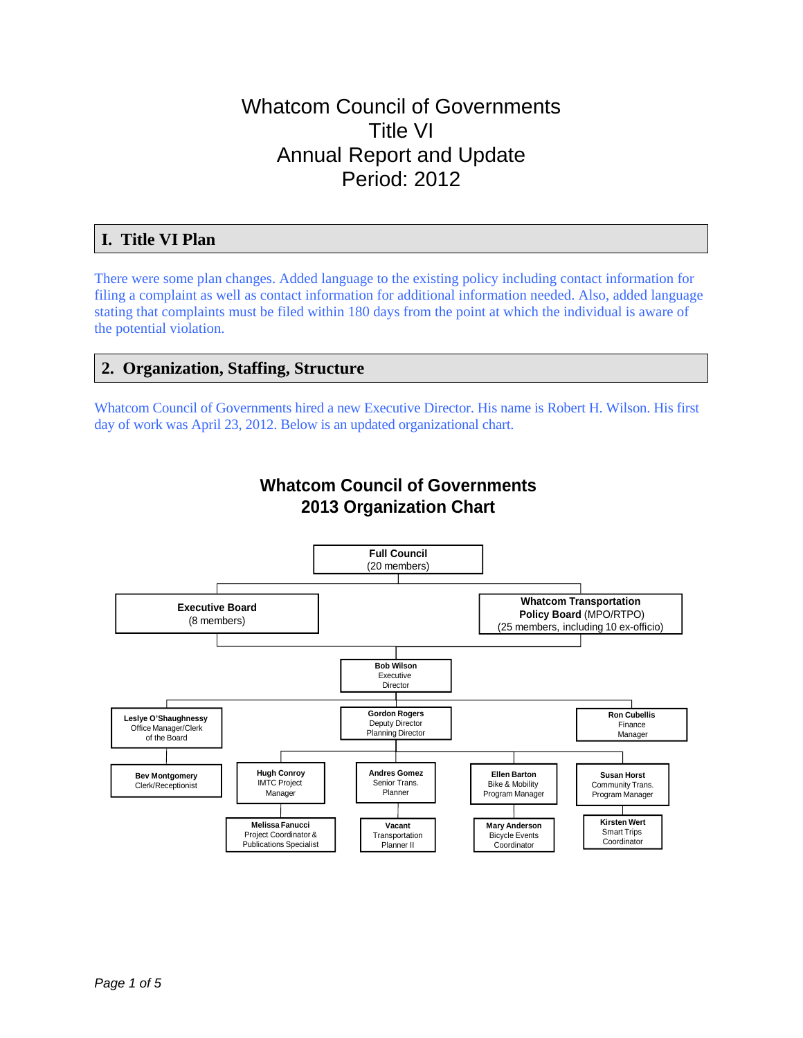# Whatcom Council of Governments Title VI Annual Report and Update Period: 2012

## **I. Title VI Plan**

There were some plan changes. Added language to the existing policy including contact information for filing a complaint as well as contact information for additional information needed. Also, added language stating that complaints must be filed within 180 days from the point at which the individual is aware of the potential violation.

## **2. Organization, Staffing, Structure**

Whatcom Council of Governments hired a new Executive Director. His name is Robert H. Wilson. His first day of work was April 23, 2012. Below is an updated organizational chart.



## **Whatcom Council of Governments 2013 Organization Chart**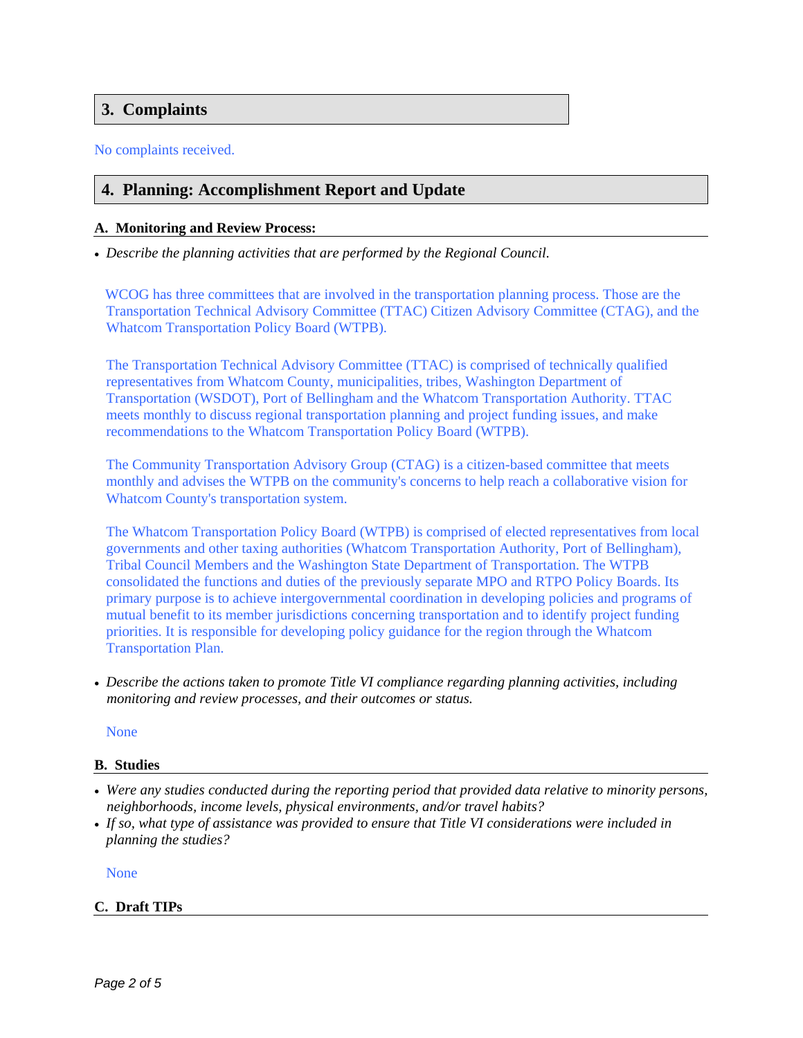## **3. Complaints**

No complaints received.

### **4. Planning: Accomplishment Report and Update**

#### **A. Monitoring and Review Process:**

*Describe the planning activities that are performed by the Regional Council.* 

 WCOG has three committees that are involved in the transportation planning process. Those are the Transportation Technical Advisory Committee (TTAC) Citizen Advisory Committee (CTAG), and the Whatcom Transportation Policy Board (WTPB).

The Transportation Technical Advisory Committee (TTAC) is comprised of technically qualified representatives from Whatcom County, municipalities, tribes, Washington Department of Transportation (WSDOT), Port of Bellingham and the Whatcom Transportation Authority. TTAC meets monthly to discuss regional transportation planning and project funding issues, and make recommendations to the Whatcom Transportation Policy Board (WTPB).

The Community Transportation Advisory Group (CTAG) is a citizen-based committee that meets monthly and advises the WTPB on the community's concerns to help reach a collaborative vision for Whatcom County's transportation system.

The Whatcom Transportation Policy Board (WTPB) is comprised of elected representatives from local governments and other taxing authorities (Whatcom Transportation Authority, Port of Bellingham), Tribal Council Members and the Washington State Department of Transportation. The WTPB consolidated the functions and duties of the previously separate MPO and RTPO Policy Boards. Its primary purpose is to achieve intergovernmental coordination in developing policies and programs of mutual benefit to its member jurisdictions concerning transportation and to identify project funding priorities. It is responsible for developing policy guidance for the region through the Whatcom Transportation Plan.

 *Describe the actions taken to promote Title VI compliance regarding planning activities, including monitoring and review processes, and their outcomes or status.* 

None

#### **B. Studies**

- *Were any studies conducted during the reporting period that provided data relative to minority persons, neighborhoods, income levels, physical environments, and/or travel habits?*
- *If so, what type of assistance was provided to ensure that Title VI considerations were included in planning the studies?*

None

#### **C. Draft TIPs**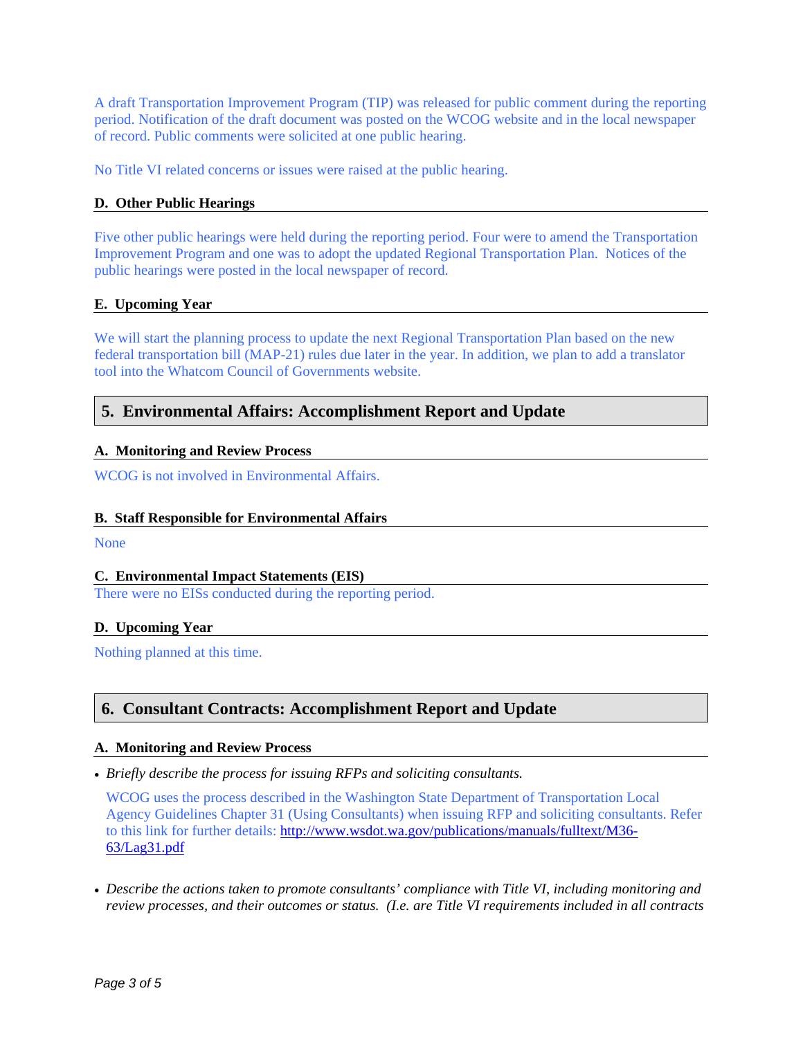A draft Transportation Improvement Program (TIP) was released for public comment during the reporting period. Notification of the draft document was posted on the WCOG website and in the local newspaper of record. Public comments were solicited at one public hearing.

No Title VI related concerns or issues were raised at the public hearing.

#### **D. Other Public Hearings**

Five other public hearings were held during the reporting period. Four were to amend the Transportation Improvement Program and one was to adopt the updated Regional Transportation Plan. Notices of the public hearings were posted in the local newspaper of record.

#### **E. Upcoming Year**

We will start the planning process to update the next Regional Transportation Plan based on the new federal transportation bill (MAP-21) rules due later in the year. In addition, we plan to add a translator tool into the Whatcom Council of Governments website.

### **5. Environmental Affairs: Accomplishment Report and Update**

#### **A. Monitoring and Review Process**

WCOG is not involved in Environmental Affairs.

#### **B. Staff Responsible for Environmental Affairs**

None

#### **C. Environmental Impact Statements (EIS)**

There were no EISs conducted during the reporting period.

#### **D. Upcoming Year**

Nothing planned at this time.

## **6. Consultant Contracts: Accomplishment Report and Update**

#### **A. Monitoring and Review Process**

*Briefly describe the process for issuing RFPs and soliciting consultants.*

WCOG uses the process described in the Washington State Department of Transportation Local Agency Guidelines Chapter 31 (Using Consultants) when issuing RFP and soliciting consultants. Refer to this link for further details: http://www.wsdot.wa.gov/publications/manuals/fulltext/M36- 63/Lag31.pdf

 *Describe the actions taken to promote consultants' compliance with Title VI, including monitoring and review processes, and their outcomes or status. (I.e. are Title VI requirements included in all contracts*